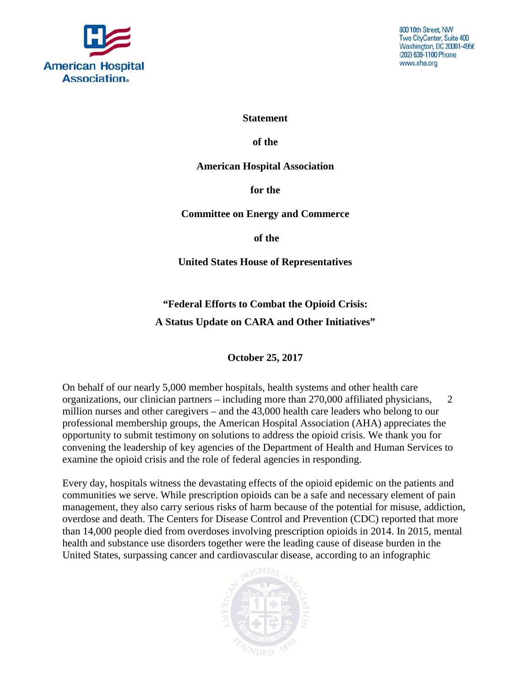

800 10th Street, NW Two CityCenter, Suite 400 Washington, DC 20001-4956 (202) 638-1100 Phone www.aha.org

**Statement**

**of the**

**American Hospital Association**

**for the**

**Committee on Energy and Commerce** 

**of the** 

**United States House of Representatives**

**"Federal Efforts to Combat the Opioid Crisis: A Status Update on CARA and Other Initiatives"**

**October 25, 2017**

On behalf of our nearly 5,000 member hospitals, health systems and other health care organizations, our clinician partners – including more than 270,000 affiliated physicians, 2 million nurses and other caregivers – and the 43,000 health care leaders who belong to our professional membership groups, the American Hospital Association (AHA) appreciates the opportunity to submit testimony on solutions to address the opioid crisis. We thank you for convening the leadership of key agencies of the Department of Health and Human Services to examine the opioid crisis and the role of federal agencies in responding.

Every day, hospitals witness the devastating effects of the opioid epidemic on the patients and communities we serve. While prescription opioids can be a safe and necessary element of pain management, they also carry serious risks of harm because of the potential for misuse, addiction, overdose and death. The Centers for Disease Control and Prevention (CDC) reported that more than 14,000 people died from overdoses involving prescription opioids in 2014. In 2015, mental health and substance use disorders together were the leading cause of disease burden in the United States, surpassing cancer and cardiovascular disease, according to an infographic

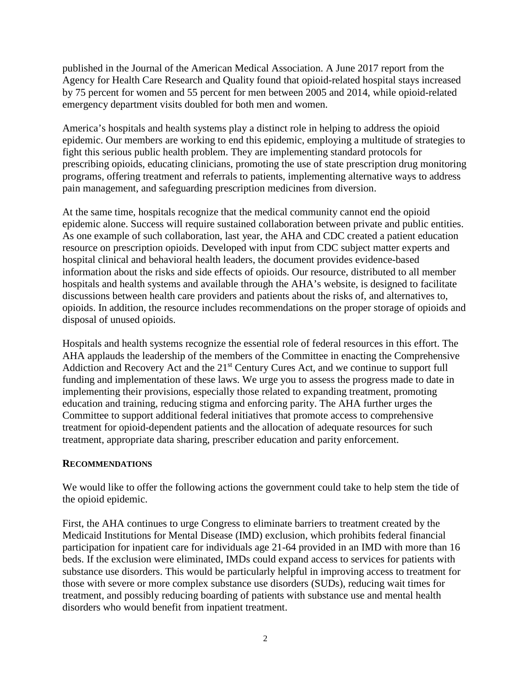published in the Journal of the American Medical Association. A June 2017 report from the Agency for Health Care Research and Quality found that opioid-related hospital stays increased by 75 percent for women and 55 percent for men between 2005 and 2014, while opioid-related emergency department visits doubled for both men and women.

America's hospitals and health systems play a distinct role in helping to address the opioid epidemic. Our members are working to end this epidemic, employing a multitude of strategies to fight this serious public health problem. They are implementing standard protocols for prescribing opioids, educating clinicians, promoting the use of state prescription drug monitoring programs, offering treatment and referrals to patients, implementing alternative ways to address pain management, and safeguarding prescription medicines from diversion.

At the same time, hospitals recognize that the medical community cannot end the opioid epidemic alone. Success will require sustained collaboration between private and public entities. As one example of such collaboration, last year, the AHA and CDC created a patient education resource on prescription opioids. Developed with input from CDC subject matter experts and hospital clinical and behavioral health leaders, the document provides evidence-based information about the risks and side effects of opioids. Our resource, distributed to all member hospitals and health systems and available through the AHA's website, is designed to facilitate discussions between health care providers and patients about the risks of, and alternatives to, opioids. In addition, the resource includes recommendations on the proper storage of opioids and disposal of unused opioids.

Hospitals and health systems recognize the essential role of federal resources in this effort. The AHA applauds the leadership of the members of the Committee in enacting the Comprehensive Addiction and Recovery Act and the 21<sup>st</sup> Century Cures Act, and we continue to support full funding and implementation of these laws. We urge you to assess the progress made to date in implementing their provisions, especially those related to expanding treatment, promoting education and training, reducing stigma and enforcing parity. The AHA further urges the Committee to support additional federal initiatives that promote access to comprehensive treatment for opioid-dependent patients and the allocation of adequate resources for such treatment, appropriate data sharing, prescriber education and parity enforcement.

## **RECOMMENDATIONS**

We would like to offer the following actions the government could take to help stem the tide of the opioid epidemic.

First, the AHA continues to urge Congress to eliminate barriers to treatment created by the Medicaid Institutions for Mental Disease (IMD) exclusion, which prohibits federal financial participation for inpatient care for individuals age 21-64 provided in an IMD with more than 16 beds. If the exclusion were eliminated, IMDs could expand access to services for patients with substance use disorders. This would be particularly helpful in improving access to treatment for those with severe or more complex substance use disorders (SUDs), reducing wait times for treatment, and possibly reducing boarding of patients with substance use and mental health disorders who would benefit from inpatient treatment.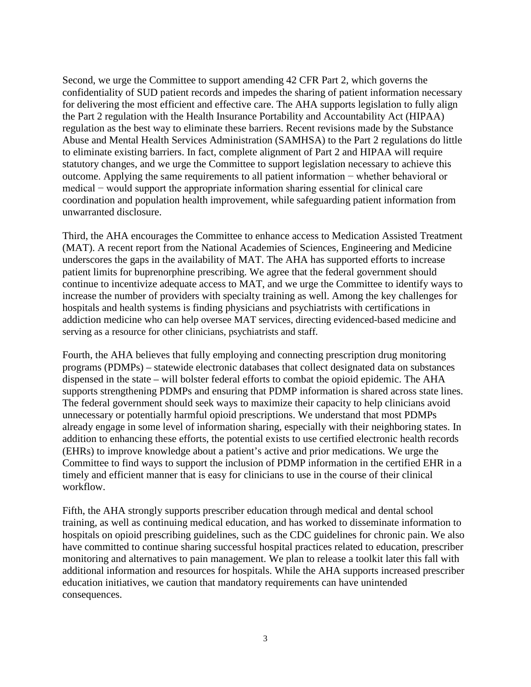Second, we urge the Committee to support amending 42 CFR Part 2, which governs the confidentiality of SUD patient records and impedes the sharing of patient information necessary for delivering the most efficient and effective care. The AHA supports legislation to fully align the Part 2 regulation with the Health Insurance Portability and Accountability Act (HIPAA) regulation as the best way to eliminate these barriers. Recent revisions made by the Substance Abuse and Mental Health Services Administration (SAMHSA) to the Part 2 regulations do little to eliminate existing barriers. In fact, complete alignment of Part 2 and HIPAA will require statutory changes, and we urge the Committee to support legislation necessary to achieve this outcome. Applying the same requirements to all patient information − whether behavioral or medical − would support the appropriate information sharing essential for clinical care coordination and population health improvement, while safeguarding patient information from unwarranted disclosure.

Third, the AHA encourages the Committee to enhance access to Medication Assisted Treatment (MAT). A recent report from the National Academies of Sciences, Engineering and Medicine underscores the gaps in the availability of MAT. The AHA has supported efforts to increase patient limits for buprenorphine prescribing. We agree that the federal government should continue to incentivize adequate access to MAT, and we urge the Committee to identify ways to increase the number of providers with specialty training as well. Among the key challenges for hospitals and health systems is finding physicians and psychiatrists with certifications in addiction medicine who can help oversee MAT services, directing evidenced-based medicine and serving as a resource for other clinicians, psychiatrists and staff.

Fourth, the AHA believes that fully employing and connecting prescription drug monitoring programs (PDMPs) – statewide electronic databases that collect designated data on substances dispensed in the state – will bolster federal efforts to combat the opioid epidemic. The AHA supports strengthening PDMPs and ensuring that PDMP information is shared across state lines. The federal government should seek ways to maximize their capacity to help clinicians avoid unnecessary or potentially harmful opioid prescriptions. We understand that most PDMPs already engage in some level of information sharing, especially with their neighboring states. In addition to enhancing these efforts, the potential exists to use certified electronic health records (EHRs) to improve knowledge about a patient's active and prior medications. We urge the Committee to find ways to support the inclusion of PDMP information in the certified EHR in a timely and efficient manner that is easy for clinicians to use in the course of their clinical workflow.

Fifth, the AHA strongly supports prescriber education through medical and dental school training, as well as continuing medical education, and has worked to disseminate information to hospitals on opioid prescribing guidelines, such as the CDC guidelines for chronic pain. We also have committed to continue sharing successful hospital practices related to education, prescriber monitoring and alternatives to pain management. We plan to release a toolkit later this fall with additional information and resources for hospitals. While the AHA supports increased prescriber education initiatives, we caution that mandatory requirements can have unintended consequences.